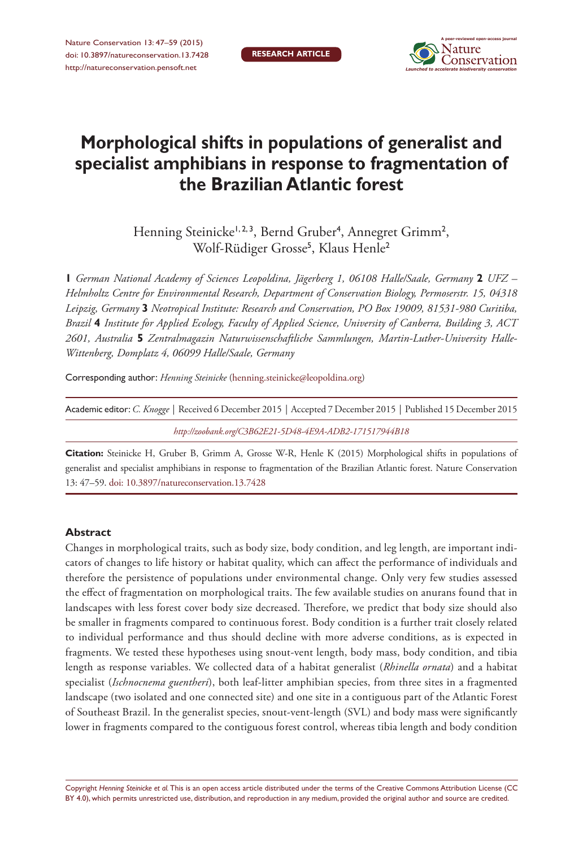

# **Morphological shifts in populations of generalist and specialist amphibians in response to fragmentation of the Brazilian Atlantic forest**

Henning Steinicke<sup>1,2,3</sup>, Bernd Gruber<sup>4</sup>, Annegret Grimm<sup>2</sup>, Wolf-Rüdiger Grosse<sup>5</sup> , Klaus Henle<sup>2</sup>

**1** *German National Academy of Sciences Leopoldina, Jägerberg 1, 06108 Halle/Saale, Germany* **2** *UFZ – Helmholtz Centre for Environmental Research, Department of Conservation Biology, Permoserstr. 15, 04318 Leipzig, Germany* **3** *Neotropical Institute: Research and Conservation, PO Box 19009, 81531-980 Curitiba, Brazil* **4** *Institute for Applied Ecology, Faculty of Applied Science, University of Canberra, Building 3, ACT 2601, Australia* **5** *Zentralmagazin Naturwissenschaftliche Sammlungen, Martin-Luther-University Halle-Wittenberg, Domplatz 4, 06099 Halle/Saale, Germany*

Corresponding author: *Henning Steinicke* [\(henning.steinicke@leopoldina.org](mailto:henning.steinicke@leopoldina.org))

| Academic editor: C. Knogge   Received 6 December 2015   Accepted 7 December 2015   Published 15 December 2015 |  |
|---------------------------------------------------------------------------------------------------------------|--|
| http://zoobank.org/C3B62E21-5D48-4E9A-ADB2-171517944B18                                                       |  |

**Citation:** Steinicke H, Gruber B, Grimm A, Grosse W-R, Henle K (2015) Morphological shifts in populations of generalist and specialist amphibians in response to fragmentation of the Brazilian Atlantic forest. Nature Conservation 13: 47–59. [doi: 10.3897/natureconservation.13.7428](http://dx.doi.org/10.3897/natureconservation.13.7428)

### **Abstract**

Changes in morphological traits, such as body size, body condition, and leg length, are important indicators of changes to life history or habitat quality, which can affect the performance of individuals and therefore the persistence of populations under environmental change. Only very few studies assessed the effect of fragmentation on morphological traits. The few available studies on anurans found that in landscapes with less forest cover body size decreased. Therefore, we predict that body size should also be smaller in fragments compared to continuous forest. Body condition is a further trait closely related to individual performance and thus should decline with more adverse conditions, as is expected in fragments. We tested these hypotheses using snout-vent length, body mass, body condition, and tibia length as response variables. We collected data of a habitat generalist (*Rhinella ornata*) and a habitat specialist (*Ischnocnema guentheri*), both leaf-litter amphibian species, from three sites in a fragmented landscape (two isolated and one connected site) and one site in a contiguous part of the Atlantic Forest of Southeast Brazil. In the generalist species, snout-vent-length (SVL) and body mass were significantly lower in fragments compared to the contiguous forest control, whereas tibia length and body condition

Copyright *Henning Steinicke et al.* This is an open access article distributed under the terms of the [Creative Commons Attribution License \(CC](http://creativecommons.org/licenses/by/4.0/)  [BY 4.0\)](http://creativecommons.org/licenses/by/4.0/), which permits unrestricted use, distribution, and reproduction in any medium, provided the original author and source are credited.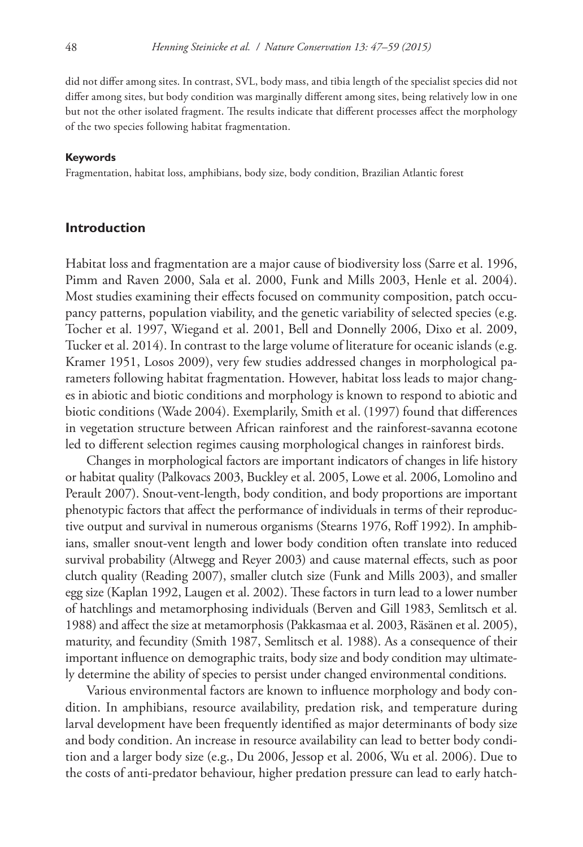did not differ among sites. In contrast, SVL, body mass, and tibia length of the specialist species did not differ among sites, but body condition was marginally different among sites, being relatively low in one but not the other isolated fragment. The results indicate that different processes affect the morphology of the two species following habitat fragmentation.

#### **Keywords**

Fragmentation, habitat loss, amphibians, body size, body condition, Brazilian Atlantic forest

### **Introduction**

Habitat loss and fragmentation are a major cause of biodiversity loss (Sarre et al. 1996, Pimm and Raven 2000, Sala et al. 2000, Funk and Mills 2003, Henle et al. 2004). Most studies examining their effects focused on community composition, patch occupancy patterns, population viability, and the genetic variability of selected species (e.g. Tocher et al. 1997, Wiegand et al. 2001, Bell and Donnelly 2006, Dixo et al. 2009, Tucker et al. 2014). In contrast to the large volume of literature for oceanic islands (e.g. Kramer 1951, Losos 2009), very few studies addressed changes in morphological parameters following habitat fragmentation. However, habitat loss leads to major changes in abiotic and biotic conditions and morphology is known to respond to abiotic and biotic conditions (Wade 2004). Exemplarily, Smith et al. (1997) found that differences in vegetation structure between African rainforest and the rainforest-savanna ecotone led to different selection regimes causing morphological changes in rainforest birds.

Changes in morphological factors are important indicators of changes in life history or habitat quality (Palkovacs 2003, Buckley et al. 2005, Lowe et al. 2006, Lomolino and Perault 2007). Snout-vent-length, body condition, and body proportions are important phenotypic factors that affect the performance of individuals in terms of their reproductive output and survival in numerous organisms (Stearns 1976, Roff 1992). In amphibians, smaller snout-vent length and lower body condition often translate into reduced survival probability (Altwegg and Reyer 2003) and cause maternal effects, such as poor clutch quality (Reading 2007), smaller clutch size (Funk and Mills 2003), and smaller egg size (Kaplan 1992, Laugen et al. 2002). These factors in turn lead to a lower number of hatchlings and metamorphosing individuals (Berven and Gill 1983, Semlitsch et al. 1988) and affect the size at metamorphosis (Pakkasmaa et al. 2003, Räsänen et al. 2005), maturity, and fecundity (Smith 1987, Semlitsch et al. 1988). As a consequence of their important influence on demographic traits, body size and body condition may ultimately determine the ability of species to persist under changed environmental conditions.

Various environmental factors are known to influence morphology and body condition. In amphibians, resource availability, predation risk, and temperature during larval development have been frequently identified as major determinants of body size and body condition. An increase in resource availability can lead to better body condition and a larger body size (e.g., Du 2006, Jessop et al. 2006, Wu et al. 2006). Due to the costs of anti-predator behaviour, higher predation pressure can lead to early hatch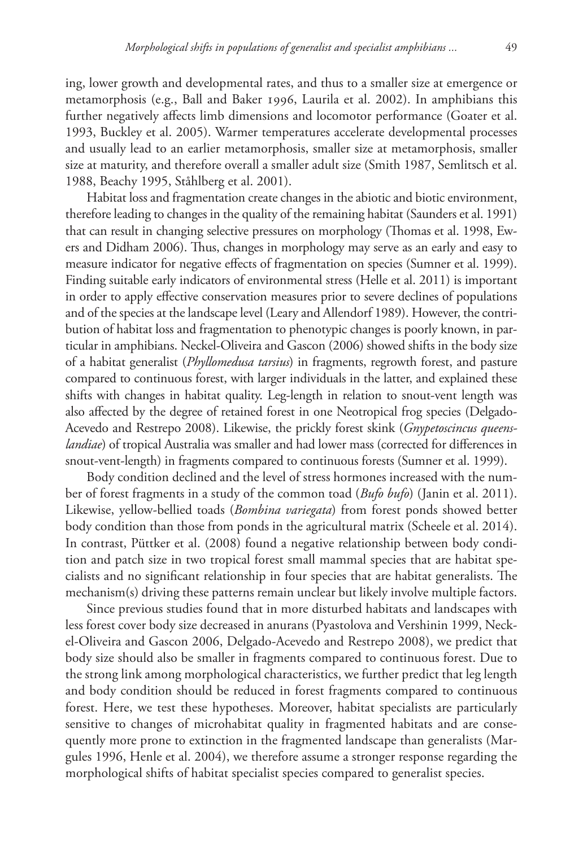ing, lower growth and developmental rates, and thus to a smaller size at emergence or metamorphosis (e.g., Ball and Baker 1996, Laurila et al. 2002). In amphibians this further negatively affects limb dimensions and locomotor performance (Goater et al. 1993, Buckley et al. 2005). Warmer temperatures accelerate developmental processes and usually lead to an earlier metamorphosis, smaller size at metamorphosis, smaller size at maturity, and therefore overall a smaller adult size (Smith 1987, Semlitsch et al. 1988, Beachy 1995, Ståhlberg et al. 2001).

Habitat loss and fragmentation create changes in the abiotic and biotic environment, therefore leading to changes in the quality of the remaining habitat (Saunders et al. 1991) that can result in changing selective pressures on morphology (Thomas et al. 1998, Ewers and Didham 2006). Thus, changes in morphology may serve as an early and easy to measure indicator for negative effects of fragmentation on species (Sumner et al. 1999). Finding suitable early indicators of environmental stress (Helle et al. 2011) is important in order to apply effective conservation measures prior to severe declines of populations and of the species at the landscape level (Leary and Allendorf 1989). However, the contribution of habitat loss and fragmentation to phenotypic changes is poorly known, in particular in amphibians. Neckel-Oliveira and Gascon (2006) showed shifts in the body size of a habitat generalist (*Phyllomedusa tarsius*) in fragments, regrowth forest, and pasture compared to continuous forest, with larger individuals in the latter, and explained these shifts with changes in habitat quality. Leg-length in relation to snout-vent length was also affected by the degree of retained forest in one Neotropical frog species (Delgado-Acevedo and Restrepo 2008). Likewise, the prickly forest skink (*Gnypetoscincus queenslandiae*) of tropical Australia was smaller and had lower mass (corrected for differences in snout-vent-length) in fragments compared to continuous forests (Sumner et al. 1999).

Body condition declined and the level of stress hormones increased with the number of forest fragments in a study of the common toad (*Bufo bufo*) (Janin et al. 2011). Likewise, yellow-bellied toads (*Bombina variegata*) from forest ponds showed better body condition than those from ponds in the agricultural matrix (Scheele et al. 2014). In contrast, Püttker et al. (2008) found a negative relationship between body condition and patch size in two tropical forest small mammal species that are habitat specialists and no significant relationship in four species that are habitat generalists. The mechanism(s) driving these patterns remain unclear but likely involve multiple factors.

Since previous studies found that in more disturbed habitats and landscapes with less forest cover body size decreased in anurans (Pyastolova and Vershinin 1999, Neckel-Oliveira and Gascon 2006, Delgado-Acevedo and Restrepo 2008), we predict that body size should also be smaller in fragments compared to continuous forest. Due to the strong link among morphological characteristics, we further predict that leg length and body condition should be reduced in forest fragments compared to continuous forest. Here, we test these hypotheses. Moreover, habitat specialists are particularly sensitive to changes of microhabitat quality in fragmented habitats and are consequently more prone to extinction in the fragmented landscape than generalists (Margules 1996, Henle et al. 2004), we therefore assume a stronger response regarding the morphological shifts of habitat specialist species compared to generalist species.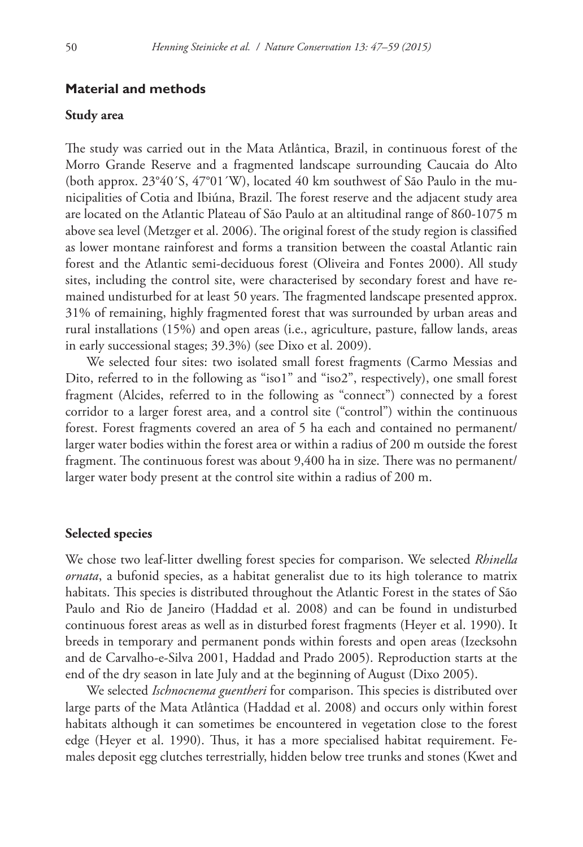## **Material and methods**

## **Study area**

The study was carried out in the Mata Atlântica, Brazil, in continuous forest of the Morro Grande Reserve and a fragmented landscape surrounding Caucaia do Alto (both approx. 23°40´S, 47°01´W), located 40 km southwest of São Paulo in the municipalities of Cotia and Ibiúna, Brazil. The forest reserve and the adjacent study area are located on the Atlantic Plateau of São Paulo at an altitudinal range of 860-1075 m above sea level (Metzger et al. 2006). The original forest of the study region is classified as lower montane rainforest and forms a transition between the coastal Atlantic rain forest and the Atlantic semi-deciduous forest (Oliveira and Fontes 2000). All study sites, including the control site, were characterised by secondary forest and have remained undisturbed for at least 50 years. The fragmented landscape presented approx. 31% of remaining, highly fragmented forest that was surrounded by urban areas and rural installations (15%) and open areas (i.e., agriculture, pasture, fallow lands, areas in early successional stages; 39.3%) (see Dixo et al. 2009).

We selected four sites: two isolated small forest fragments (Carmo Messias and Dito, referred to in the following as "iso1" and "iso2", respectively), one small forest fragment (Alcides, referred to in the following as "connect") connected by a forest corridor to a larger forest area, and a control site ("control") within the continuous forest. Forest fragments covered an area of 5 ha each and contained no permanent/ larger water bodies within the forest area or within a radius of 200 m outside the forest fragment. The continuous forest was about 9,400 ha in size. There was no permanent/ larger water body present at the control site within a radius of 200 m.

#### **Selected species**

We chose two leaf-litter dwelling forest species for comparison. We selected *Rhinella ornata*, a bufonid species, as a habitat generalist due to its high tolerance to matrix habitats. This species is distributed throughout the Atlantic Forest in the states of São Paulo and Rio de Janeiro (Haddad et al. 2008) and can be found in undisturbed continuous forest areas as well as in disturbed forest fragments (Heyer et al. 1990). It breeds in temporary and permanent ponds within forests and open areas (Izecksohn and de Carvalho-e-Silva 2001, Haddad and Prado 2005). Reproduction starts at the end of the dry season in late July and at the beginning of August (Dixo 2005).

We selected *Ischnocnema guentheri* for comparison. This species is distributed over large parts of the Mata Atlântica (Haddad et al. 2008) and occurs only within forest habitats although it can sometimes be encountered in vegetation close to the forest edge (Heyer et al. 1990). Thus, it has a more specialised habitat requirement. Females deposit egg clutches terrestrially, hidden below tree trunks and stones (Kwet and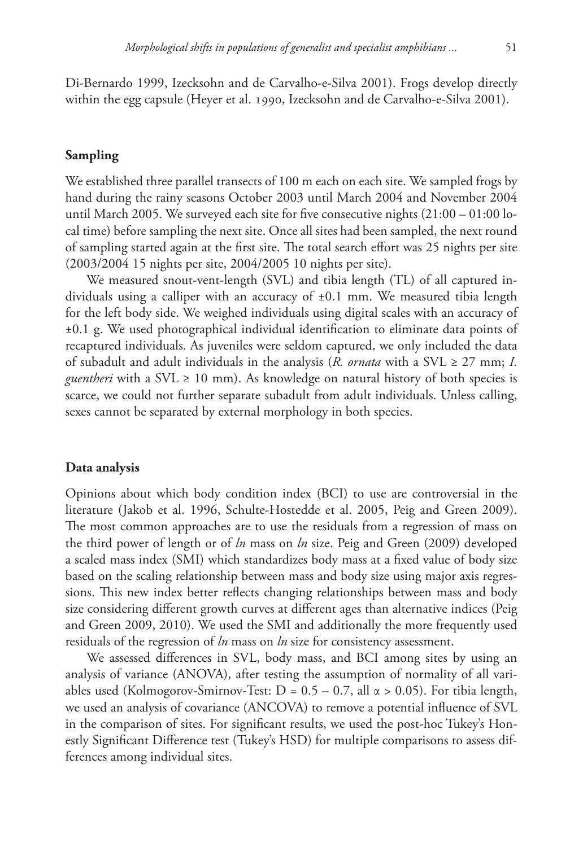Di-Bernardo 1999, Izecksohn and de Carvalho-e-Silva 2001). Frogs develop directly within the egg capsule (Heyer et al. 1990, Izecksohn and de Carvalho-e-Silva 2001).

## **Sampling**

We established three parallel transects of 100 m each on each site. We sampled frogs by hand during the rainy seasons October 2003 until March 2004 and November 2004 until March 2005. We surveyed each site for five consecutive nights  $(21:00 - 01:00$  local time) before sampling the next site. Once all sites had been sampled, the next round of sampling started again at the first site. The total search effort was 25 nights per site (2003/2004 15 nights per site, 2004/2005 10 nights per site).

We measured snout-vent-length (SVL) and tibia length (TL) of all captured individuals using a calliper with an accuracy of ±0.1 mm. We measured tibia length for the left body side. We weighed individuals using digital scales with an accuracy of ±0.1 g. We used photographical individual identification to eliminate data points of recaptured individuals. As juveniles were seldom captured, we only included the data of subadult and adult individuals in the analysis (*R. ornata* with a SVL  $\geq$  27 mm; *I. guentheri* with a SVL ≥ 10 mm). As knowledge on natural history of both species is scarce, we could not further separate subadult from adult individuals. Unless calling, sexes cannot be separated by external morphology in both species.

### **Data analysis**

Opinions about which body condition index (BCI) to use are controversial in the literature (Jakob et al. 1996, Schulte-Hostedde et al. 2005, Peig and Green 2009). The most common approaches are to use the residuals from a regression of mass on the third power of length or of *ln* mass on *ln* size. Peig and Green (2009) developed a scaled mass index (SMI) which standardizes body mass at a fixed value of body size based on the scaling relationship between mass and body size using major axis regressions. This new index better reflects changing relationships between mass and body size considering different growth curves at different ages than alternative indices (Peig and Green 2009, 2010). We used the SMI and additionally the more frequently used residuals of the regression of *ln* mass on *ln* size for consistency assessment.

We assessed differences in SVL, body mass, and BCI among sites by using an analysis of variance (ANOVA), after testing the assumption of normality of all variables used (Kolmogorov-Smirnov-Test:  $D = 0.5 - 0.7$ , all  $\alpha > 0.05$ ). For tibia length, we used an analysis of covariance (ANCOVA) to remove a potential influence of SVL in the comparison of sites. For significant results, we used the post-hoc Tukey's Honestly Significant Difference test (Tukey's HSD) for multiple comparisons to assess differences among individual sites.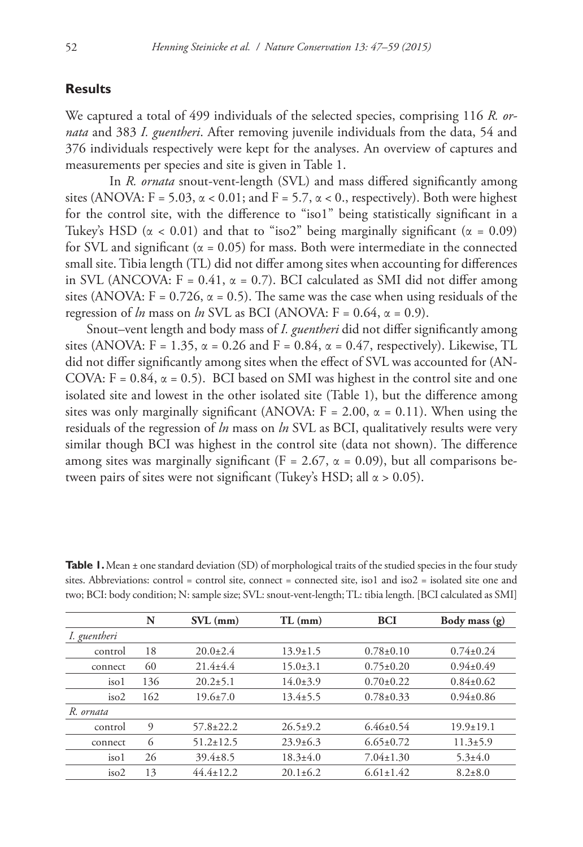# **Results**

We captured a total of 499 individuals of the selected species, comprising 116 *R. ornata* and 383 *I. guentheri*. After removing juvenile individuals from the data, 54 and 376 individuals respectively were kept for the analyses. An overview of captures and measurements per species and site is given in Table 1.

In *R. ornata* snout-vent-length (SVL) and mass differed significantly among sites (ANOVA:  $F = 5.03$ ,  $\alpha < 0.01$ ; and  $F = 5.7$ ,  $\alpha < 0$ ., respectively). Both were highest for the control site, with the difference to "iso1" being statistically significant in a Tukey's HSD ( $\alpha$  < 0.01) and that to "iso2" being marginally significant ( $\alpha$  = 0.09) for SVL and significant ( $\alpha$  = 0.05) for mass. Both were intermediate in the connected small site. Tibia length (TL) did not differ among sites when accounting for differences in SVL (ANCOVA:  $F = 0.41$ ,  $\alpha = 0.7$ ). BCI calculated as SMI did not differ among sites (ANOVA:  $F = 0.726$ ,  $\alpha = 0.5$ ). The same was the case when using residuals of the regression of *ln* mass on *ln* SVL as BCI (ANOVA:  $F = 0.64$ ,  $\alpha = 0.9$ ).

Snout–vent length and body mass of *I. guentheri* did not differ significantly among sites (ANOVA:  $F = 1.35$ ,  $\alpha = 0.26$  and  $F = 0.84$ ,  $\alpha = 0.47$ , respectively). Likewise, TL did not differ significantly among sites when the effect of SVL was accounted for (AN-COVA:  $F = 0.84$ ,  $\alpha = 0.5$ ). BCI based on SMI was highest in the control site and one isolated site and lowest in the other isolated site (Table 1), but the difference among sites was only marginally significant (ANOVA:  $F = 2.00$ ,  $\alpha = 0.11$ ). When using the residuals of the regression of *ln* mass on *ln* SVL as BCI, qualitatively results were very similar though BCI was highest in the control site (data not shown). The difference among sites was marginally significant (F = 2.67,  $\alpha$  = 0.09), but all comparisons between pairs of sites were not significant (Tukey's HSD; all  $\alpha$  > 0.05).

|                  | N   | $SVL$ (mm)      | $TL$ (mm)      | <b>BCI</b>      | Body mass (g)   |
|------------------|-----|-----------------|----------------|-----------------|-----------------|
| I. guentheri     |     |                 |                |                 |                 |
| control          | 18  | $20.0+2.4$      | $13.9 \pm 1.5$ | $0.78 \pm 0.10$ | $0.74 \pm 0.24$ |
| connect          | 60  | $21.4 + 4.4$    | $15.0 \pm 3.1$ | $0.75 \pm 0.20$ | $0.94 \pm 0.49$ |
| iso1             | 136 | $20.2 \pm 5.1$  | $14.0 \pm 3.9$ | $0.70 \pm 0.22$ | $0.84 \pm 0.62$ |
| iso2             | 162 | $19.6 \pm 7.0$  | $13.4 \pm 5.5$ | $0.78 \pm 0.33$ | $0.94 \pm 0.86$ |
| R. ornata        |     |                 |                |                 |                 |
| control          | 9   | $57.8 \pm 22.2$ | $26.5 \pm 9.2$ | $6.46 \pm 0.54$ | $19.9 \pm 19.1$ |
| connect          | 6   | $51.2 \pm 12.5$ | $23.9 \pm 6.3$ | $6.65 \pm 0.72$ | $11.3 \pm 5.9$  |
| iso <sub>1</sub> | 26  | $39.4 \pm 8.5$  | $18.3 \pm 4.0$ | $7.04 \pm 1.30$ | $5.3 \pm 4.0$   |
| iso2             | 13  | $44.4 + 12.2$   | $20.1 + 6.2$   | $6.61+1.42$     | $8.2 + 8.0$     |

**Table 1.** Mean ± one standard deviation (SD) of morphological traits of the studied species in the four study sites. Abbreviations: control = control site, connect = connected site, iso1 and iso2 = isolated site one and two; BCI: body condition; N: sample size; SVL: snout-vent-length; TL: tibia length. [BCI calculated as SMI]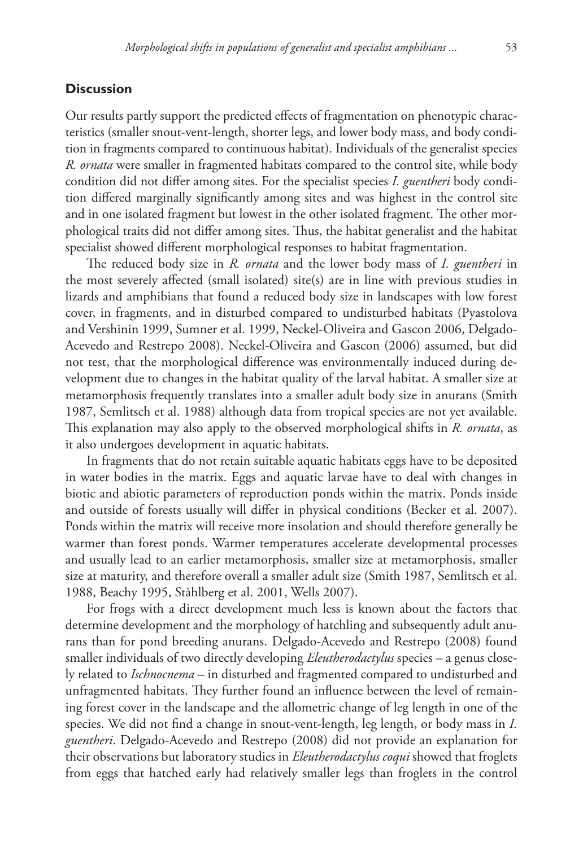## **Discussion**

Our results partly support the predicted effects of fragmentation on phenotypic characteristics (smaller snout-vent-length, shorter legs, and lower body mass, and body condition in fragments compared to continuous habitat). Individuals of the generalist species *R. ornata* were smaller in fragmented habitats compared to the control site, while body condition did not differ among sites. For the specialist species *I. guentheri* body condition differed marginally significantly among sites and was highest in the control site and in one isolated fragment but lowest in the other isolated fragment. The other morphological traits did not differ among sites. Thus, the habitat generalist and the habitat specialist showed different morphological responses to habitat fragmentation.

The reduced body size in *R. ornata* and the lower body mass of *I. guentheri* in the most severely affected (small isolated) site(s) are in line with previous studies in lizards and amphibians that found a reduced body size in landscapes with low forest cover, in fragments, and in disturbed compared to undisturbed habitats (Pyastolova and Vershinin 1999, Sumner et al. 1999, Neckel-Oliveira and Gascon 2006, Delgado-Acevedo and Restrepo 2008). Neckel-Oliveira and Gascon (2006) assumed, but did not test, that the morphological difference was environmentally induced during development due to changes in the habitat quality of the larval habitat. A smaller size at metamorphosis frequently translates into a smaller adult body size in anurans (Smith 1987, Semlitsch et al. 1988) although data from tropical species are not yet available. This explanation may also apply to the observed morphological shifts in *R. ornata*, as it also undergoes development in aquatic habitats.

In fragments that do not retain suitable aquatic habitats eggs have to be deposited in water bodies in the matrix. Eggs and aquatic larvae have to deal with changes in biotic and abiotic parameters of reproduction ponds within the matrix. Ponds inside and outside of forests usually will differ in physical conditions (Becker et al. 2007). Ponds within the matrix will receive more insolation and should therefore generally be warmer than forest ponds. Warmer temperatures accelerate developmental processes and usually lead to an earlier metamorphosis, smaller size at metamorphosis, smaller size at maturity, and therefore overall a smaller adult size (Smith 1987, Semlitsch et al. 1988, Beachy 1995, Ståhlberg et al. 2001, Wells 2007).

For frogs with a direct development much less is known about the factors that determine development and the morphology of hatchling and subsequently adult anurans than for pond breeding anurans. Delgado-Acevedo and Restrepo (2008) found smaller individuals of two directly developing *Eleutherodactylus* species – a genus closely related to *Ischnocnema* – in disturbed and fragmented compared to undisturbed and unfragmented habitats. They further found an influence between the level of remaining forest cover in the landscape and the allometric change of leg length in one of the species. We did not find a change in snout-vent-length, leg length, or body mass in *I. guentheri*. Delgado-Acevedo and Restrepo (2008) did not provide an explanation for their observations but laboratory studies in *Eleutherodactylus coqui* showed that froglets from eggs that hatched early had relatively smaller legs than froglets in the control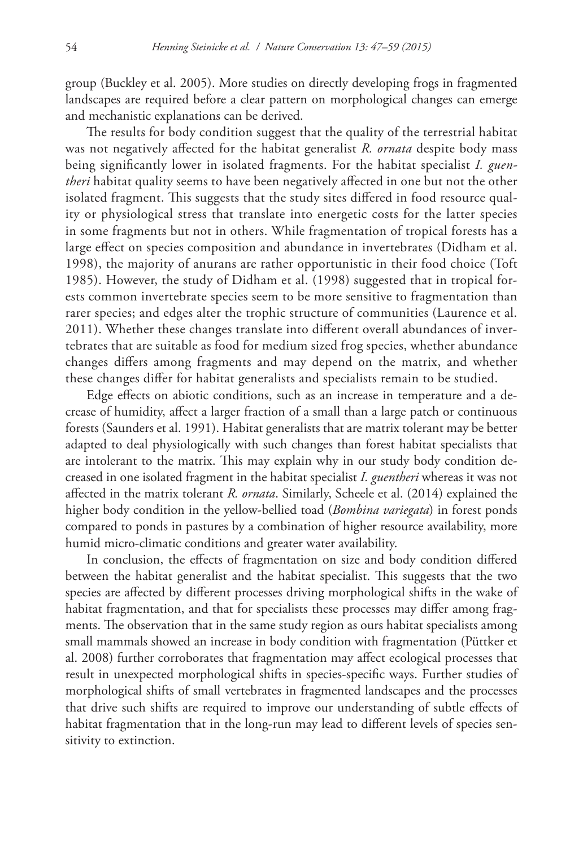group (Buckley et al. 2005). More studies on directly developing frogs in fragmented landscapes are required before a clear pattern on morphological changes can emerge and mechanistic explanations can be derived.

The results for body condition suggest that the quality of the terrestrial habitat was not negatively affected for the habitat generalist *R. ornata* despite body mass being significantly lower in isolated fragments. For the habitat specialist *I. guentheri* habitat quality seems to have been negatively affected in one but not the other isolated fragment. This suggests that the study sites differed in food resource quality or physiological stress that translate into energetic costs for the latter species in some fragments but not in others. While fragmentation of tropical forests has a large effect on species composition and abundance in invertebrates (Didham et al. 1998), the majority of anurans are rather opportunistic in their food choice (Toft 1985). However, the study of Didham et al. (1998) suggested that in tropical forests common invertebrate species seem to be more sensitive to fragmentation than rarer species; and edges alter the trophic structure of communities (Laurence et al. 2011). Whether these changes translate into different overall abundances of invertebrates that are suitable as food for medium sized frog species, whether abundance changes differs among fragments and may depend on the matrix, and whether these changes differ for habitat generalists and specialists remain to be studied.

Edge effects on abiotic conditions, such as an increase in temperature and a decrease of humidity, affect a larger fraction of a small than a large patch or continuous forests (Saunders et al. 1991). Habitat generalists that are matrix tolerant may be better adapted to deal physiologically with such changes than forest habitat specialists that are intolerant to the matrix. This may explain why in our study body condition decreased in one isolated fragment in the habitat specialist *I. guentheri* whereas it was not affected in the matrix tolerant *R. ornata*. Similarly, Scheele et al. (2014) explained the higher body condition in the yellow-bellied toad (*Bombina variegata*) in forest ponds compared to ponds in pastures by a combination of higher resource availability, more humid micro-climatic conditions and greater water availability.

In conclusion, the effects of fragmentation on size and body condition differed between the habitat generalist and the habitat specialist. This suggests that the two species are affected by different processes driving morphological shifts in the wake of habitat fragmentation, and that for specialists these processes may differ among fragments. The observation that in the same study region as ours habitat specialists among small mammals showed an increase in body condition with fragmentation (Püttker et al. 2008) further corroborates that fragmentation may affect ecological processes that result in unexpected morphological shifts in species-specific ways. Further studies of morphological shifts of small vertebrates in fragmented landscapes and the processes that drive such shifts are required to improve our understanding of subtle effects of habitat fragmentation that in the long-run may lead to different levels of species sensitivity to extinction.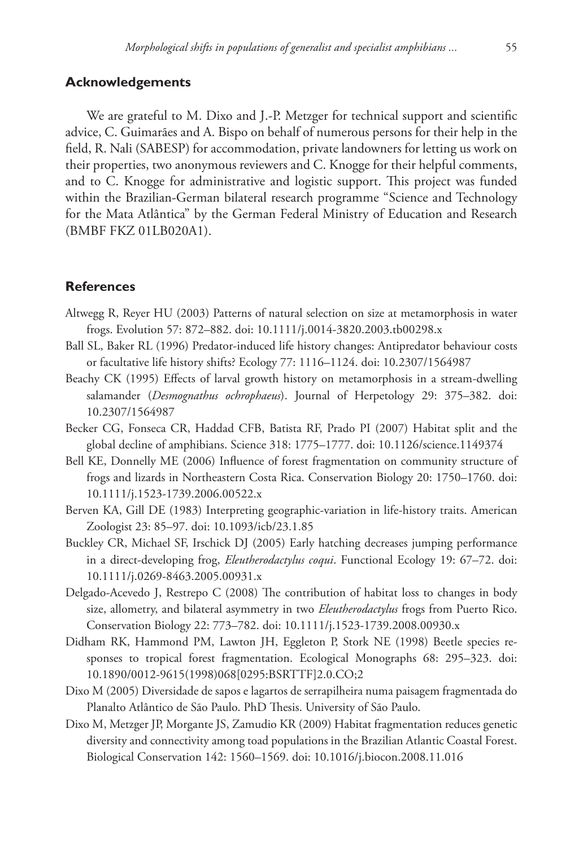#### **Acknowledgements**

We are grateful to M. Dixo and J.-P. Metzger for technical support and scientific advice, C. Guimarães and A. Bispo on behalf of numerous persons for their help in the field, R. Nali (SABESP) for accommodation, private landowners for letting us work on their properties, two anonymous reviewers and C. Knogge for their helpful comments, and to C. Knogge for administrative and logistic support. This project was funded within the Brazilian-German bilateral research programme "Science and Technology for the Mata Atlântica" by the German Federal Ministry of Education and Research (BMBF FKZ 01LB020A1).

## **References**

- Altwegg R, Reyer HU (2003) Patterns of natural selection on size at metamorphosis in water frogs. Evolution 57: 872–882. [doi: 10.1111/j.0014-3820.2003.tb00298.x](http://dx.doi.org/10.1111/j.0014-3820.2003.tb00298.x)
- Ball SL, Baker RL (1996) Predator-induced life history changes: Antipredator behaviour costs or facultative life history shifts? Ecology 77: 1116–1124. [doi: 10.2307/1564987](http://dx.doi.org/10.2307/1564987)
- Beachy CK (1995) Effects of larval growth history on metamorphosis in a stream-dwelling salamander (*Desmognathus ochrophaeus*). Journal of Herpetology 29: 375–382. [doi:](http://dx.doi.org/10.2307/1564987) [10.2307/1564987](http://dx.doi.org/10.2307/1564987)
- Becker CG, Fonseca CR, Haddad CFB, Batista RF, Prado PI (2007) Habitat split and the global decline of amphibians. Science 318: 1775–1777. [doi: 10.1126/science.1149374](http://dx.doi.org/10.1126/science.1149374)
- Bell KE, Donnelly ME (2006) Influence of forest fragmentation on community structure of frogs and lizards in Northeastern Costa Rica. Conservation Biology 20: 1750–1760. [doi:](http://dx.doi.org/10.1111/j.1523-1739.2006.00522.x) [10.1111/j.1523-1739.2006.00522.x](http://dx.doi.org/10.1111/j.1523-1739.2006.00522.x)
- Berven KA, Gill DE (1983) Interpreting geographic-variation in life-history traits. American Zoologist 23: 85–97. [doi: 10.1093/icb/23.1.85](http://dx.doi.org/10.1093/icb/23.1.85)
- Buckley CR, Michael SF, Irschick DJ (2005) Early hatching decreases jumping performance in a direct-developing frog, *Eleutherodactylus coqui*. Functional Ecology 19: 67–72. [doi:](http://dx.doi.org/10.1111/j.0269-8463.2005.00931.x) [10.1111/j.0269-8463.2005.00931.x](http://dx.doi.org/10.1111/j.0269-8463.2005.00931.x)
- Delgado-Acevedo J, Restrepo C (2008) The contribution of habitat loss to changes in body size, allometry, and bilateral asymmetry in two *Eleutherodactylus* frogs from Puerto Rico. Conservation Biology 22: 773–782. [doi: 10.1111/j.1523-1739.2008.00930.x](http://dx.doi.org/10.1111/j.1523-1739.2008.00930.x)
- Didham RK, Hammond PM, Lawton JH, Eggleton P, Stork NE (1998) Beetle species responses to tropical forest fragmentation. Ecological Monographs 68: 295–323. [doi:](http://dx.doi.org/10.1890/0012-9615(1998)068%5B0295:BSRTTF%5D2.0.CO;2) [10.1890/0012-9615\(1998\)068\[0295:BSRTTF\]2.0.CO;2](http://dx.doi.org/10.1890/0012-9615(1998)068%5B0295:BSRTTF%5D2.0.CO;2)
- Dixo M (2005) Diversidade de sapos e lagartos de serrapilheira numa paisagem fragmentada do Planalto Atlântico de São Paulo. PhD Thesis. University of São Paulo.
- Dixo M, Metzger JP, Morgante JS, Zamudio KR (2009) Habitat fragmentation reduces genetic diversity and connectivity among toad populations in the Brazilian Atlantic Coastal Forest. Biological Conservation 142: 1560–1569. [doi: 10.1016/j.biocon.2008.11.016](http://dx.doi.org/10.1016/j.biocon.2008.11.016)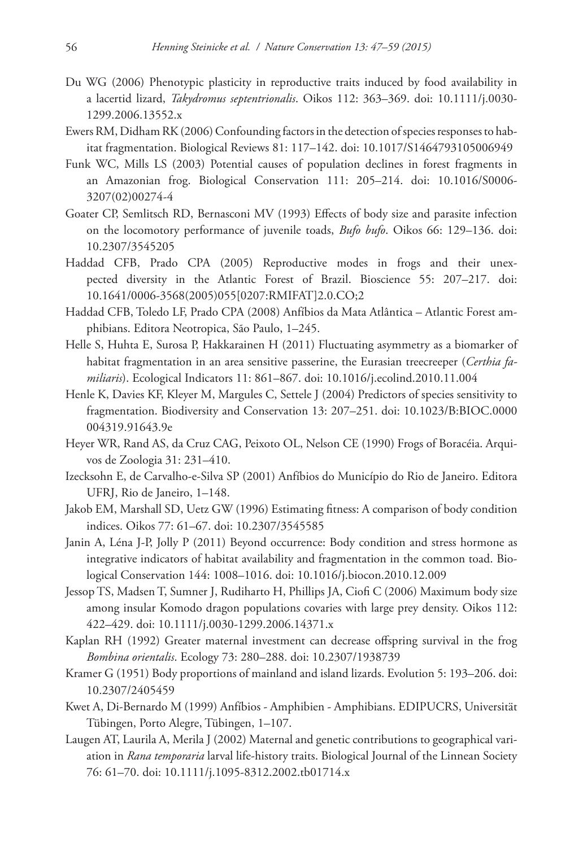- Du WG (2006) Phenotypic plasticity in reproductive traits induced by food availability in a lacertid lizard, *Takydromus septentrionalis*. Oikos 112: 363–369. [doi: 10.1111/j.0030-](http://dx.doi.org/10.1111/j.0030-1299.2006.13552.x) [1299.2006.13552.x](http://dx.doi.org/10.1111/j.0030-1299.2006.13552.x)
- Ewers RM, Didham RK (2006) Confounding factors in the detection of species responses to habitat fragmentation. Biological Reviews 81: 117–142. [doi: 10.1017/S1464793105006949](http://dx.doi.org/10.1017/S1464793105006949)
- Funk WC, Mills LS (2003) Potential causes of population declines in forest fragments in an Amazonian frog. Biological Conservation 111: 205–214. [doi: 10.1016/S0006-](http://dx.doi.org/10.1016/S0006-3207(02)00274-4) [3207\(02\)00274-4](http://dx.doi.org/10.1016/S0006-3207(02)00274-4)
- Goater CP, Semlitsch RD, Bernasconi MV (1993) Effects of body size and parasite infection on the locomotory performance of juvenile toads, *Bufo bufo*. Oikos 66: 129–136. [doi:](http://dx.doi.org/10.2307/3545205) [10.2307/3545205](http://dx.doi.org/10.2307/3545205)
- Haddad CFB, Prado CPA (2005) Reproductive modes in frogs and their unexpected diversity in the Atlantic Forest of Brazil. Bioscience 55: 207–217. [doi:](http://dx.doi.org/10.1641/0006-3568(2005)055%5B0207:RMIFAT%5D2.0.CO;2) [10.1641/0006-3568\(2005\)055\[0207:RMIFAT\]2.0.CO;2](http://dx.doi.org/10.1641/0006-3568(2005)055%5B0207:RMIFAT%5D2.0.CO;2)
- Haddad CFB, Toledo LF, Prado CPA (2008) Anfíbios da Mata Atlântica Atlantic Forest amphibians. Editora Neotropica, São Paulo, 1–245.
- Helle S, Huhta E, Surosa P, Hakkarainen H (2011) Fluctuating asymmetry as a biomarker of habitat fragmentation in an area sensitive passerine, the Eurasian treecreeper (*Certhia familiaris*). Ecological Indicators 11: 861–867. [doi: 10.1016/j.ecolind.2010.11.004](http://dx.doi.org/10.1016/j.ecolind.2010.11.004)
- Henle K, Davies KF, Kleyer M, Margules C, Settele J (2004) Predictors of species sensitivity to fragmentation. Biodiversity and Conservation 13: 207–251. [doi: 10.1023/B:BIOC.0000](http://dx.doi.org/10.1023/B:BIOC.0000004319.91643.9e) [004319.91643.9e](http://dx.doi.org/10.1023/B:BIOC.0000004319.91643.9e)
- Heyer WR, Rand AS, da Cruz CAG, Peixoto OL, Nelson CE (1990) Frogs of Boracéia. Arquivos de Zoologia 31: 231–410.
- Izecksohn E, de Carvalho-e-Silva SP (2001) Anfíbios do Município do Rio de Janeiro. Editora UFRJ, Rio de Janeiro, 1–148.
- Jakob EM, Marshall SD, Uetz GW (1996) Estimating fitness: A comparison of body condition indices. Oikos 77: 61–67. [doi: 10.2307/3545585](http://dx.doi.org/10.2307/3545585)
- Janin A, Léna J-P, Jolly P (2011) Beyond occurrence: Body condition and stress hormone as integrative indicators of habitat availability and fragmentation in the common toad. Biological Conservation 144: 1008–1016. [doi: 10.1016/j.biocon.2010.12.009](http://dx.doi.org/10.1016/j.biocon.2010.12.009)
- Jessop TS, Madsen T, Sumner J, Rudiharto H, Phillips JA, Ciofi C (2006) Maximum body size among insular Komodo dragon populations covaries with large prey density. Oikos 112: 422–429. [doi: 10.1111/j.0030-1299.2006.14371.x](http://dx.doi.org/10.1111/j.0030-1299.2006.14371.x)
- Kaplan RH (1992) Greater maternal investment can decrease offspring survival in the frog *Bombina orientalis*. Ecology 73: 280–288. [doi: 10.2307/1938739](http://dx.doi.org/10.2307/1938739)
- Kramer G (1951) Body proportions of mainland and island lizards. Evolution 5: 193–206. [doi:](http://dx.doi.org/10.2307/2405459) [10.2307/2405459](http://dx.doi.org/10.2307/2405459)
- Kwet A, Di-Bernardo M (1999) Anfíbios Amphibien Amphibians. EDIPUCRS, Universität Tübingen, Porto Alegre, Tübingen, 1–107.
- Laugen AT, Laurila A, Merila J (2002) Maternal and genetic contributions to geographical variation in *Rana temporaria* larval life-history traits. Biological Journal of the Linnean Society 76: 61–70. [doi: 10.1111/j.1095-8312.2002.tb01714.x](http://dx.doi.org/10.1111/j.1095-8312.2002.tb01714.x)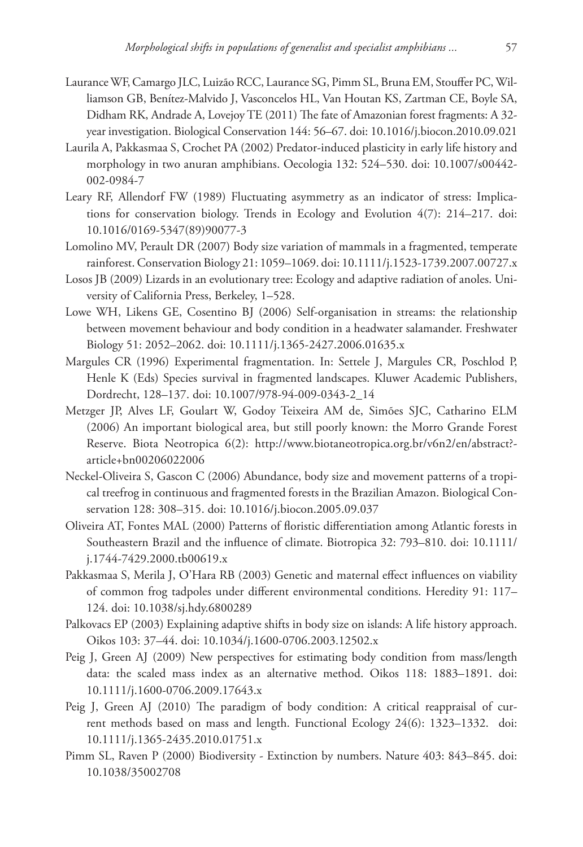- Laurance WF, Camargo JLC, Luizão RCC, Laurance SG, Pimm SL, Bruna EM, Stouffer PC, Williamson GB, Benítez-Malvido J, Vasconcelos HL, Van Houtan KS, Zartman CE, Boyle SA, Didham RK, Andrade A, Lovejoy TE (2011) The fate of Amazonian forest fragments: A 32 year investigation. Biological Conservation 144: 56–67. [doi: 10.1016/j.biocon.2010.09.021](http://dx.doi.org/10.1016/j.biocon.2010.09.021)
- Laurila A, Pakkasmaa S, Crochet PA (2002) Predator-induced plasticity in early life history and morphology in two anuran amphibians. Oecologia 132: 524–530. [doi: 10.1007/s00442-](http://dx.doi.org/10.1007/s00442-002-0984-7) [002-0984-7](http://dx.doi.org/10.1007/s00442-002-0984-7)
- Leary RF, Allendorf FW (1989) Fluctuating asymmetry as an indicator of stress: Implications for conservation biology. Trends in Ecology and Evolution 4(7): 214–217. [doi:](http://dx.doi.org/10.1016/0169-5347(89)90077-3) [10.1016/0169-5347\(89\)90077-3](http://dx.doi.org/10.1016/0169-5347(89)90077-3)
- Lomolino MV, Perault DR (2007) Body size variation of mammals in a fragmented, temperate rainforest. Conservation Biology 21: 1059–1069. [doi: 10.1111/j.1523-1739.2007.00727.x](http://dx.doi.org/10.1111/j.1523-1739.2007.00727.x)
- Losos JB (2009) Lizards in an evolutionary tree: Ecology and adaptive radiation of anoles. University of California Press, Berkeley, 1–528.
- Lowe WH, Likens GE, Cosentino BJ (2006) Self-organisation in streams: the relationship between movement behaviour and body condition in a headwater salamander. Freshwater Biology 51: 2052–2062. [doi: 10.1111/j.1365-2427.2006.01635.x](http://dx.doi.org/10.1111/j.1365-2427.2006.01635.x)
- Margules CR (1996) Experimental fragmentation. In: Settele J, Margules CR, Poschlod P, Henle K (Eds) Species survival in fragmented landscapes. Kluwer Academic Publishers, Dordrecht, 128–137. [doi: 10.1007/978-94-009-0343-2\\_14](http://dx.doi.org/10.1007/978-94-009-0343-2_14)
- Metzger JP, Alves LF, Goulart W, Godoy Teixeira AM de, Simões SJC, Catharino ELM (2006) An important biological area, but still poorly known: the Morro Grande Forest Reserve. Biota Neotropica 6(2): [http://www.biotaneotropica.org.br/v6n2/en/abstract?](http://www.biotaneotropica.org.br/v6n2/en/abstract?%C2%ADarticle+bn00206022006) [article+bn00206022006](http://www.biotaneotropica.org.br/v6n2/en/abstract?%C2%ADarticle+bn00206022006)
- Neckel-Oliveira S, Gascon C (2006) Abundance, body size and movement patterns of a tropical treefrog in continuous and fragmented forests in the Brazilian Amazon. Biological Conservation 128: 308–315. [doi: 10.1016/j.biocon.2005.09.037](http://dx.doi.org/10.1016/j.biocon.2005.09.037)
- Oliveira AT, Fontes MAL (2000) Patterns of floristic differentiation among Atlantic forests in Southeastern Brazil and the influence of climate. Biotropica 32: 793–810. [doi: 10.1111/](http://dx.doi.org/10.1111/j.1744-7429.2000.tb00619.x) [j.1744-7429.2000.tb00619.x](http://dx.doi.org/10.1111/j.1744-7429.2000.tb00619.x)
- Pakkasmaa S, Merila J, O'Hara RB (2003) Genetic and maternal effect influences on viability of common frog tadpoles under different environmental conditions. Heredity 91: 117– 124. [doi: 10.1038/sj.hdy.6800289](http://dx.doi.org/10.1038/sj.hdy.6800289)
- Palkovacs EP (2003) Explaining adaptive shifts in body size on islands: A life history approach. Oikos 103: 37–44. [doi: 10.1034/j.1600-0706.2003.12502.x](http://dx.doi.org/10.1034/j.1600-0706.2003.12502.x)
- Peig J, Green AJ (2009) New perspectives for estimating body condition from mass/length data: the scaled mass index as an alternative method. Oikos 118: 1883–1891. [doi:](http://dx.doi.org/10.1111/j.1600-0706.2009.17643.x) [10.1111/j.1600-0706.2009.17643.x](http://dx.doi.org/10.1111/j.1600-0706.2009.17643.x)
- Peig J, Green AJ (2010) The paradigm of body condition: A critical reappraisal of current methods based on mass and length. Functional Ecology 24(6): 1323–1332. [doi:](http://dx.doi.org/10.1111/j.1365-2435.2010.01751.x) [10.1111/j.1365-2435.2010.01751.x](http://dx.doi.org/10.1111/j.1365-2435.2010.01751.x)
- Pimm SL, Raven P (2000) Biodiversity Extinction by numbers. Nature 403: 843–845. [doi:](http://dx.doi.org/10.1038/35002708) [10.1038/35002708](http://dx.doi.org/10.1038/35002708)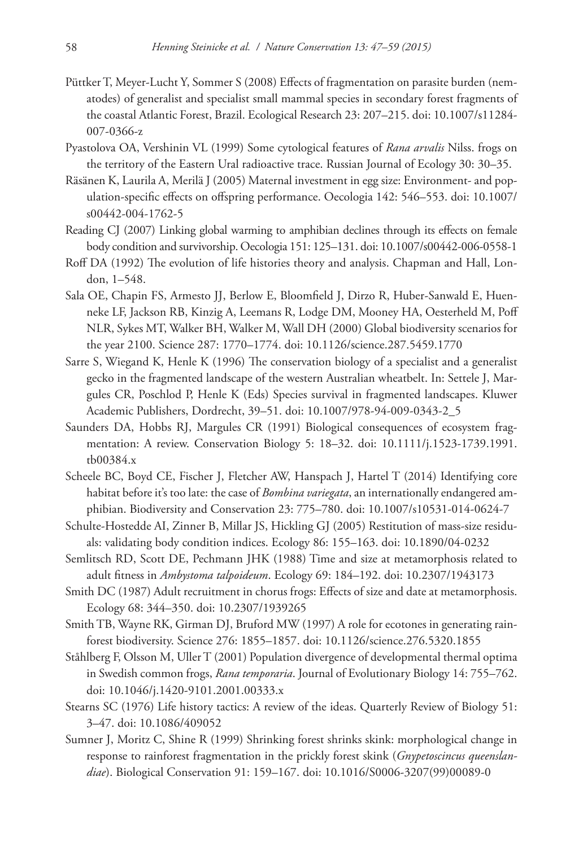- Püttker T, Meyer-Lucht Y, Sommer S (2008) Effects of fragmentation on parasite burden (nematodes) of generalist and specialist small mammal species in secondary forest fragments of the coastal Atlantic Forest, Brazil. Ecological Research 23: 207–215. [doi: 10.1007/s11284-](http://dx.doi.org/10.1007/s11284-007-0366-z) [007-0366-z](http://dx.doi.org/10.1007/s11284-007-0366-z)
- Pyastolova OA, Vershinin VL (1999) Some cytological features of *Rana arvalis* Nilss. frogs on the territory of the Eastern Ural radioactive trace. Russian Journal of Ecology 30: 30–35.
- Räsänen K, Laurila A, Merilä J (2005) Maternal investment in egg size: Environment- and population-specific effects on offspring performance. Oecologia 142: 546–553. [doi: 10.1007/](http://dx.doi.org/10.1007/s00442-004-1762-5) [s00442-004-1762-5](http://dx.doi.org/10.1007/s00442-004-1762-5)
- Reading CJ (2007) Linking global warming to amphibian declines through its effects on female body condition and survivorship. Oecologia 151: 125–131. [doi: 10.1007/s00442-006-0558-1](http://dx.doi.org/10.1007/s00442-006-0558-1)
- Roff DA (1992) The evolution of life histories theory and analysis. Chapman and Hall, London, 1–548.
- Sala OE, Chapin FS, Armesto JJ, Berlow E, Bloomfield J, Dirzo R, Huber-Sanwald E, Huenneke LF, Jackson RB, Kinzig A, Leemans R, Lodge DM, Mooney HA, Oesterheld M, Poff NLR, Sykes MT, Walker BH, Walker M, Wall DH (2000) Global biodiversity scenarios for the year 2100. Science 287: 1770–1774. [doi: 10.1126/science.287.5459.1770](http://dx.doi.org/10.1126/science.287.5459.1770)
- Sarre S, Wiegand K, Henle K (1996) The conservation biology of a specialist and a generalist gecko in the fragmented landscape of the western Australian wheatbelt. In: Settele J, Margules CR, Poschlod P, Henle K (Eds) Species survival in fragmented landscapes. Kluwer Academic Publishers, Dordrecht, 39–51. [doi: 10.1007/978-94-009-0343-2\\_5](http://dx.doi.org/10.1007/978-94-009-0343-2_5)
- Saunders DA, Hobbs RJ, Margules CR (1991) Biological consequences of ecosystem fragmentation: A review. Conservation Biology 5: 18–32. [doi: 10.1111/j.1523-1739.1991.](http://dx.doi.org/10.1111/j.1523-1739.1991.tb00384.x) [tb00384.x](http://dx.doi.org/10.1111/j.1523-1739.1991.tb00384.x)
- Scheele BC, Boyd CE, Fischer J, Fletcher AW, Hanspach J, Hartel T (2014) Identifying core habitat before it's too late: the case of *Bombina variegata*, an internationally endangered amphibian. Biodiversity and Conservation 23: 775–780. [doi: 10.1007/s10531-014-0624-7](http://dx.doi.org/10.1007/s10531-014-0624-7)
- Schulte-Hostedde AI, Zinner B, Millar JS, Hickling GJ (2005) Restitution of mass-size residuals: validating body condition indices. Ecology 86: 155–163. [doi: 10.1890/04-0232](http://dx.doi.org/10.1890/04-0232)
- Semlitsch RD, Scott DE, Pechmann JHK (1988) Time and size at metamorphosis related to adult fitness in *Ambystoma talpoideum*. Ecology 69: 184–192. [doi: 10.2307/1943173](http://dx.doi.org/10.2307/1943173)
- Smith DC (1987) Adult recruitment in chorus frogs: Effects of size and date at metamorphosis. Ecology 68: 344–350. [doi: 10.2307/1939265](http://dx.doi.org/10.2307/1939265)
- Smith TB, Wayne RK, Girman DJ, Bruford MW (1997) A role for ecotones in generating rainforest biodiversity. Science 276: 1855–1857. [doi: 10.1126/science.276.5320.1855](http://dx.doi.org/10.1126/science.276.5320.1855)
- Ståhlberg F, Olsson M, Uller T (2001) Population divergence of developmental thermal optima in Swedish common frogs, *Rana temporaria*. Journal of Evolutionary Biology 14: 755–762. [doi: 10.1046/j.1420-9101.2001.00333.x](http://dx.doi.org/10.1046/j.1420-9101.2001.00333.x)
- Stearns SC (1976) Life history tactics: A review of the ideas. Quarterly Review of Biology 51: 3–47. [doi: 10.1086/409052](http://dx.doi.org/10.1086/409052)
- Sumner J, Moritz C, Shine R (1999) Shrinking forest shrinks skink: morphological change in response to rainforest fragmentation in the prickly forest skink (*Gnypetoscincus queenslandiae*). Biological Conservation 91: 159–167. [doi: 10.1016/S0006-3207\(99\)00089-0](http://dx.doi.org/10.1016/S0006-3207(99)00089-0)